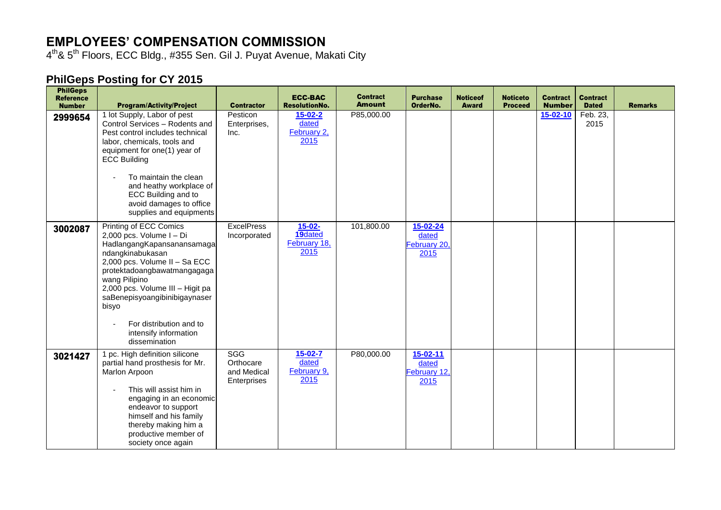## **EMPLOYEES' COMPENSATION COMMISSION**

4<sup>th</sup>& 5<sup>th</sup> Floors, ECC Bldg., #355 Sen. Gil J. Puyat Avenue, Makati City

## **PhilGeps Posting for CY 2015**

| <b>PhilGeps</b><br><b>Reference</b><br><b>Number</b> | <b>Program/Activity/Project</b>                                                                                                                                                                                                                                                                                                          | <b>Contractor</b>                                     | <b>ECC-BAC</b><br><b>ResolutionNo.</b>         | <b>Contract</b><br><b>Amount</b> | <b>Purchase</b><br>OrderNo.                     | <b>Noticeof</b><br><b>Award</b> | <b>Noticeto</b><br><b>Proceed</b> | <b>Contract</b><br><b>Number</b> | <b>Contract</b><br><b>Dated</b> | <b>Remarks</b> |
|------------------------------------------------------|------------------------------------------------------------------------------------------------------------------------------------------------------------------------------------------------------------------------------------------------------------------------------------------------------------------------------------------|-------------------------------------------------------|------------------------------------------------|----------------------------------|-------------------------------------------------|---------------------------------|-----------------------------------|----------------------------------|---------------------------------|----------------|
| 2999654                                              | 1 lot Supply, Labor of pest<br>Control Services - Rodents and<br>Pest control includes technical<br>labor, chemicals, tools and<br>equipment for one(1) year of<br><b>ECC Building</b><br>To maintain the clean<br>and heathy workplace of<br>ECC Building and to<br>avoid damages to office<br>supplies and equipments                  | Pesticon<br>Enterprises,<br>Inc.                      | $15 - 02 - 2$<br>dated<br>February 2,<br>2015  | P85,000.00                       |                                                 |                                 |                                   | $15 - 02 - 10$                   | Feb. 23,<br>2015                |                |
| 3002087                                              | Printing of ECC Comics<br>2,000 pcs. Volume I - Di<br>HadlangangKapansanansamaga<br>ndangkinabukasan<br>2,000 pcs. Volume II - Sa ECC<br>protektadoangbawatmangagaga<br>wang Pilipino<br>2,000 pcs. Volume III - Higit pa<br>saBenepisyoangibinibigaynaser<br>bisyo<br>For distribution and to<br>intensify information<br>dissemination | <b>ExcelPress</b><br>Incorporated                     | $15 - 02 -$<br>19dated<br>February 18,<br>2015 | 101,800.00                       | 15-02-24<br>dated<br>February 20,<br>2015       |                                 |                                   |                                  |                                 |                |
| 3021427                                              | 1 pc. High definition silicone<br>partial hand prosthesis for Mr.<br>Marlon Arpoon<br>This will assist him in<br>$\qquad \qquad \blacksquare$<br>engaging in an economic<br>endeavor to support<br>himself and his family<br>thereby making him a<br>productive member of<br>society once again                                          | <b>SGG</b><br>Orthocare<br>and Medical<br>Enterprises | $15 - 02 - 7$<br>dated<br>February 9,<br>2015  | P80,000.00                       | $15 - 02 - 11$<br>dated<br>February 12,<br>2015 |                                 |                                   |                                  |                                 |                |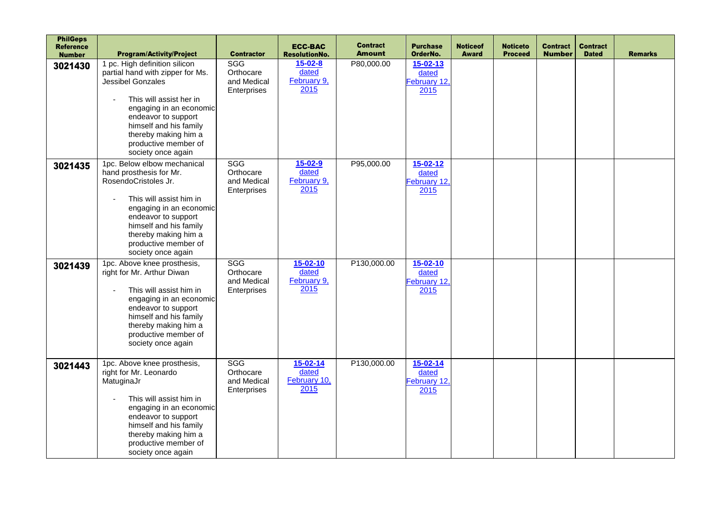| <b>PhilGeps</b><br><b>Reference</b><br><b>Number</b> | <b>Program/Activity/Project</b>                                                                                                                                                                                                                                       | <b>Contractor</b>                                     | <b>ECC-BAC</b><br><b>ResolutionNo.</b>          | <b>Contract</b><br><b>Amount</b> | <b>Purchase</b><br>OrderNo.                     | <b>Noticeof</b><br><b>Award</b> | <b>Noticeto</b><br><b>Proceed</b> | <b>Contract</b><br><b>Number</b> | <b>Contract</b><br><b>Dated</b> | <b>Remarks</b> |
|------------------------------------------------------|-----------------------------------------------------------------------------------------------------------------------------------------------------------------------------------------------------------------------------------------------------------------------|-------------------------------------------------------|-------------------------------------------------|----------------------------------|-------------------------------------------------|---------------------------------|-----------------------------------|----------------------------------|---------------------------------|----------------|
| 3021430                                              | 1 pc. High definition silicon<br>partial hand with zipper for Ms.<br>Jessibel Gonzales<br>This will assist her in<br>engaging in an economic<br>endeavor to support<br>himself and his family<br>thereby making him a<br>productive member of<br>society once again   | SGG<br>Orthocare<br>and Medical<br>Enterprises        | $15 - 02 - 8$<br>dated<br>February 9,<br>2015   | P80,000.00                       | $15 - 02 - 13$<br>dated<br>February 12,<br>2015 |                                 |                                   |                                  |                                 |                |
| 3021435                                              | 1pc. Below elbow mechanical<br>hand prosthesis for Mr.<br>RosendoCristoles Jr.<br>This will assist him in<br>$\sim$<br>engaging in an economic<br>endeavor to support<br>himself and his family<br>thereby making him a<br>productive member of<br>society once again | <b>SGG</b><br>Orthocare<br>and Medical<br>Enterprises | $15 - 02 - 9$<br>dated<br>February 9,<br>2015   | P95,000.00                       | $15 - 02 - 12$<br>dated<br>February 12,<br>2015 |                                 |                                   |                                  |                                 |                |
| 3021439                                              | 1pc. Above knee prosthesis,<br>right for Mr. Arthur Diwan<br>This will assist him in<br>engaging in an economic<br>endeavor to support<br>himself and his family<br>thereby making him a<br>productive member of<br>society once again                                | <b>SGG</b><br>Orthocare<br>and Medical<br>Enterprises | $15 - 02 - 10$<br>dated<br>February 9,<br>2015  | P130,000.00                      | $15 - 02 - 10$<br>dated<br>February 12,<br>2015 |                                 |                                   |                                  |                                 |                |
| 3021443                                              | 1pc. Above knee prosthesis,<br>right for Mr. Leonardo<br>MatuginaJr<br>This will assist him in<br>$\blacksquare$<br>engaging in an economic<br>endeavor to support<br>himself and his family<br>thereby making him a<br>productive member of<br>society once again    | <b>SGG</b><br>Orthocare<br>and Medical<br>Enterprises | $15 - 02 - 14$<br>dated<br>February 10,<br>2015 | P130,000.00                      | $15 - 02 - 14$<br>dated<br>February 12,<br>2015 |                                 |                                   |                                  |                                 |                |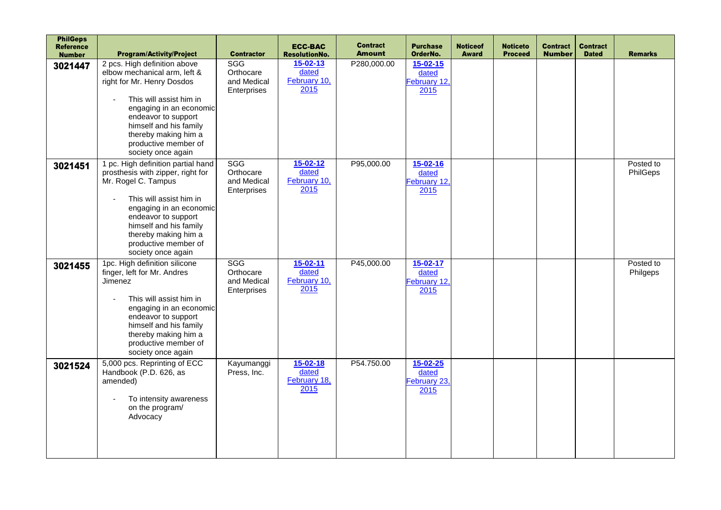| <b>PhilGeps</b><br><b>Reference</b><br><b>Number</b> | <b>Program/Activity/Project</b>                                                                                                                                                                                                                                                       | <b>Contractor</b>                                     | <b>ECC-BAC</b><br><b>ResolutionNo.</b>          | <b>Contract</b><br><b>Amount</b> | <b>Purchase</b><br>OrderNo.                     | <b>Noticeof</b><br><b>Award</b> | <b>Noticeto</b><br><b>Proceed</b> | <b>Contract</b><br><b>Number</b> | <b>Contract</b><br><b>Dated</b> | <b>Remarks</b>        |
|------------------------------------------------------|---------------------------------------------------------------------------------------------------------------------------------------------------------------------------------------------------------------------------------------------------------------------------------------|-------------------------------------------------------|-------------------------------------------------|----------------------------------|-------------------------------------------------|---------------------------------|-----------------------------------|----------------------------------|---------------------------------|-----------------------|
| 3021447                                              | 2 pcs. High definition above<br>elbow mechanical arm, left &<br>right for Mr. Henry Dosdos<br>This will assist him in<br>engaging in an economic<br>endeavor to support<br>himself and his family<br>thereby making him a<br>productive member of<br>society once again               | SGG<br>Orthocare<br>and Medical<br>Enterprises        | $15 - 02 - 13$<br>dated<br>February 10,<br>2015 | P280,000.00                      | $15 - 02 - 15$<br>dated<br>February 12,<br>2015 |                                 |                                   |                                  |                                 |                       |
| 3021451                                              | 1 pc. High definition partial hand<br>prosthesis with zipper, right for<br>Mr. Rogel C. Tampus<br>This will assist him in<br>$\sim$<br>engaging in an economic<br>endeavor to support<br>himself and his family<br>thereby making him a<br>productive member of<br>society once again | <b>SGG</b><br>Orthocare<br>and Medical<br>Enterprises | $15 - 02 - 12$<br>dated<br>February 10,<br>2015 | P95,000.00                       | 15-02-16<br>dated<br>February 12.<br>2015       |                                 |                                   |                                  |                                 | Posted to<br>PhilGeps |
| 3021455                                              | 1pc. High definition silicone<br>finger, left for Mr. Andres<br>Jimenez<br>This will assist him in<br>engaging in an economic<br>endeavor to support<br>himself and his family<br>thereby making him a<br>productive member of<br>society once again                                  | <b>SGG</b><br>Orthocare<br>and Medical<br>Enterprises | $15 - 02 - 11$<br>dated<br>February 10,<br>2015 | P45,000.00                       | $15 - 02 - 17$<br>dated<br>February 12,<br>2015 |                                 |                                   |                                  |                                 | Posted to<br>Philgeps |
| 3021524                                              | 5,000 pcs. Reprinting of ECC<br>Handbook (P.D. 626, as<br>amended)<br>To intensity awareness<br>on the program/<br>Advocacy                                                                                                                                                           | Kayumanggi<br>Press, Inc.                             | $15 - 02 - 18$<br>dated<br>February 18,<br>2015 | P54.750.00                       | $15 - 02 - 25$<br>dated<br>February 23,<br>2015 |                                 |                                   |                                  |                                 |                       |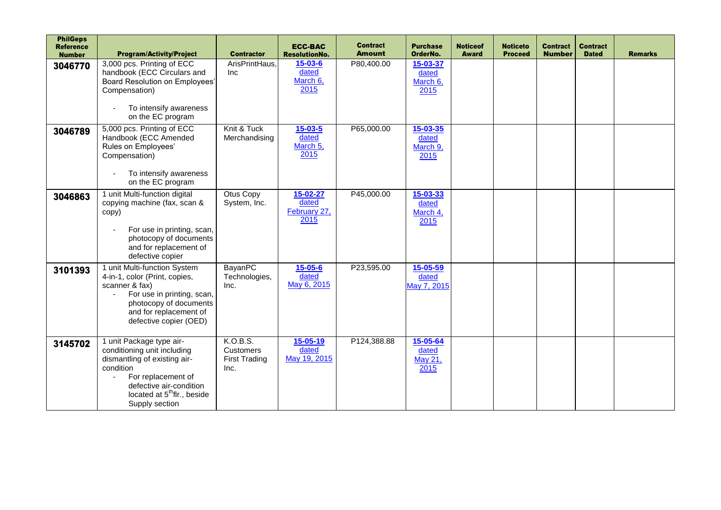| <b>PhilGeps</b><br><b>Reference</b><br><b>Number</b> | <b>Program/Activity/Project</b>                                                                                                                                                                                              | <b>Contractor</b>                                     | <b>ECC-BAC</b><br><b>ResolutionNo.</b>     | <b>Contract</b><br><b>Amount</b> | <b>Purchase</b><br>OrderNo.           | <b>Noticeof</b><br><b>Award</b> | <b>Noticeto</b><br><b>Proceed</b> | <b>Contract</b><br><b>Number</b> | <b>Contract</b><br><b>Dated</b> | <b>Remarks</b> |
|------------------------------------------------------|------------------------------------------------------------------------------------------------------------------------------------------------------------------------------------------------------------------------------|-------------------------------------------------------|--------------------------------------------|----------------------------------|---------------------------------------|---------------------------------|-----------------------------------|----------------------------------|---------------------------------|----------------|
| 3046770                                              | 3,000 pcs. Printing of ECC<br>handbook (ECC Circulars and<br>Board Resolution on Employees'<br>Compensation)<br>To intensify awareness<br>on the EC program                                                                  | ArisPrintHaus.<br>Inc                                 | $15 - 03 - 6$<br>dated<br>March 6,<br>2015 | P80,400.00                       | 15-03-37<br>dated<br>March 6,<br>2015 |                                 |                                   |                                  |                                 |                |
| 3046789                                              | 5,000 pcs. Printing of ECC<br>Handbook (ECC Amended<br>Rules on Employees'<br>Compensation)<br>To intensify awareness<br>on the EC program                                                                                   | Knit & Tuck<br>Merchandising                          | $15 - 03 - 5$<br>dated<br>March 5,<br>2015 | P65,000.00                       | 15-03-35<br>dated<br>March 9,<br>2015 |                                 |                                   |                                  |                                 |                |
| 3046863                                              | 1 unit Multi-function digital<br>copying machine (fax, scan &<br>copy)<br>For use in printing, scan,<br>photocopy of documents<br>and for replacement of<br>defective copier                                                 | Otus Copy<br>System, Inc.                             | 15-02-27<br>dated<br>February 27,<br>2015  | P45,000.00                       | 15-03-33<br>dated<br>March 4,<br>2015 |                                 |                                   |                                  |                                 |                |
| 3101393                                              | 1 unit Multi-function System<br>4-in-1, color (Print, copies,<br>scanner & fax)<br>For use in printing, scan,<br>photocopy of documents<br>and for replacement of<br>defective copier (OED)                                  | BayanPC<br>Technologies,<br>Inc.                      | $15 - 05 - 6$<br>dated<br>May 6, 2015      | P23,595.00                       | 15-05-59<br>dated<br>May 7, 2015      |                                 |                                   |                                  |                                 |                |
| 3145702                                              | 1 unit Package type air-<br>conditioning unit including<br>dismantling of existing air-<br>condition<br>For replacement of<br>$\sim$<br>defective air-condition<br>located at 5 <sup>th</sup> flr., beside<br>Supply section | K.O.B.S.<br>Customers<br><b>First Trading</b><br>Inc. | 15-05-19<br>dated<br>May 19, 2015          | P124,388.88                      | 15-05-64<br>dated<br>May 21,<br>2015  |                                 |                                   |                                  |                                 |                |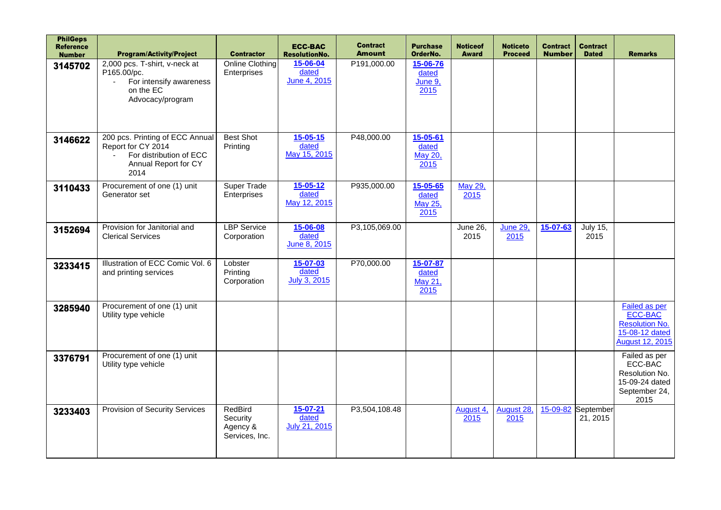| <b>PhilGeps</b><br><b>Reference</b><br><b>Number</b> | <b>Program/Activity/Project</b>                                                                                          | <b>Contractor</b>                                 | <b>ECC-BAC</b><br><b>ResolutionNo.</b>         | <b>Contract</b><br><b>Amount</b> | <b>Purchase</b><br>OrderNo.          | <b>Noticeof</b><br><b>Award</b> | <b>Noticeto</b><br><b>Proceed</b> | <b>Contract</b><br><b>Number</b> | <b>Contract</b><br><b>Dated</b> | <b>Remarks</b>                                                                                       |
|------------------------------------------------------|--------------------------------------------------------------------------------------------------------------------------|---------------------------------------------------|------------------------------------------------|----------------------------------|--------------------------------------|---------------------------------|-----------------------------------|----------------------------------|---------------------------------|------------------------------------------------------------------------------------------------------|
| 3145702                                              | 2,000 pcs. T-shirt, v-neck at<br>P165.00/pc.<br>For intensify awareness<br>$\mathbf{r}$<br>on the EC<br>Advocacy/program | Online Clothing<br>Enterprises                    | 15-06-04<br>dated<br>June 4, 2015              | P191,000.00                      | 15-06-76<br>dated<br>June 9,<br>2015 |                                 |                                   |                                  |                                 |                                                                                                      |
| 3146622                                              | 200 pcs. Printing of ECC Annual<br>Report for CY 2014<br>For distribution of ECC<br>Annual Report for CY<br>2014         | <b>Best Shot</b><br>Printing                      | $15 - 05 - 15$<br>dated<br>May 15, 2015        | P48,000.00                       | 15-05-61<br>dated<br>May 20,<br>2015 |                                 |                                   |                                  |                                 |                                                                                                      |
| 3110433                                              | Procurement of one (1) unit<br>Generator set                                                                             | Super Trade<br>Enterprises                        | $15 - 05 - 12$<br>dated<br>May 12, 2015        | P935,000.00                      | 15-05-65<br>dated<br>May 25,<br>2015 | May 29,<br>2015                 |                                   |                                  |                                 |                                                                                                      |
| 3152694                                              | Provision for Janitorial and<br><b>Clerical Services</b>                                                                 | <b>LBP</b> Service<br>Corporation                 | 15-06-08<br>dated<br>June 8, 2015              | P3,105,069.00                    |                                      | <b>June 26,</b><br>2015         | <b>June 29,</b><br>2015           | 15-07-63                         | <b>July 15,</b><br>2015         |                                                                                                      |
| 3233415                                              | Illustration of ECC Comic Vol. 6<br>and printing services                                                                | Lobster<br>Printing<br>Corporation                | $15 - 07 - 03$<br>dated<br><b>July 3, 2015</b> | P70,000.00                       | 15-07-87<br>dated<br>May 21,<br>2015 |                                 |                                   |                                  |                                 |                                                                                                      |
| 3285940                                              | Procurement of one (1) unit<br>Utility type vehicle                                                                      |                                                   |                                                |                                  |                                      |                                 |                                   |                                  |                                 | <b>Failed as per</b><br>ECC-BAC<br><b>Resolution No.</b><br>15-08-12 dated<br><b>August 12, 2015</b> |
| 3376791                                              | Procurement of one (1) unit<br>Utility type vehicle                                                                      |                                                   |                                                |                                  |                                      |                                 |                                   |                                  |                                 | Failed as per<br>ECC-BAC<br>Resolution No.<br>15-09-24 dated<br>September 24,<br>2015                |
| 3233403                                              | Provision of Security Services                                                                                           | RedBird<br>Security<br>Agency &<br>Services, Inc. | $15 - 07 - 21$<br>dated<br>July 21, 2015       | P3,504,108.48                    |                                      | August 4,<br>2015               | August 28,<br>2015                | 15-09-82                         | September<br>21, 2015           |                                                                                                      |